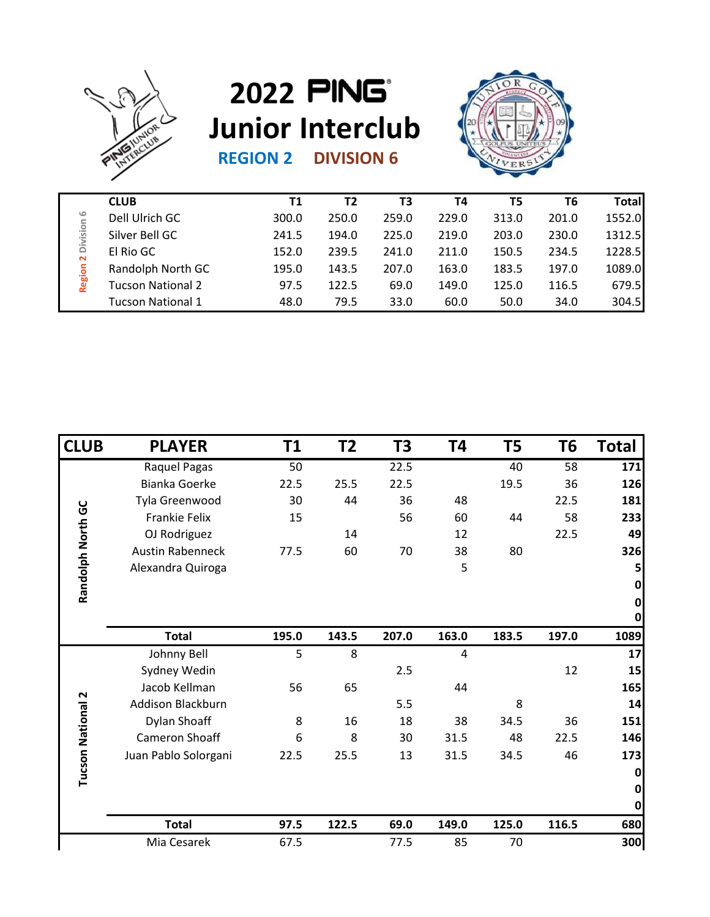

## **REGION 2 DIVISION 6 2022 Junior Interclub**



|                                                              | <b>CLUB</b>              | Τ1    | T2    | T3    | Т4    | T5    | Т6    | <b>Total</b> |
|--------------------------------------------------------------|--------------------------|-------|-------|-------|-------|-------|-------|--------------|
| $\circ$<br>Division<br>$\mathbf{\tilde{z}}$<br><b>Region</b> | Dell Ulrich GC           | 300.0 | 250.0 | 259.0 | 229.0 | 313.0 | 201.0 | 1552.0       |
|                                                              | Silver Bell GC           | 241.5 | 194.0 | 225.0 | 219.0 | 203.0 | 230.0 | 1312.5       |
|                                                              | El Rio GC                | 152.0 | 239.5 | 241.0 | 211.0 | 150.5 | 234.5 | 1228.5       |
|                                                              | Randolph North GC        | 195.0 | 143.5 | 207.0 | 163.0 | 183.5 | 197.0 | 1089.0       |
|                                                              | <b>Tucson National 2</b> | 97.5  | 122.5 | 69.0  | 149.0 | 125.0 | 116.5 | 679.5        |
|                                                              | <b>Tucson National 1</b> | 48.0  | 79.5  | 33.0  | 60.0  | 50.0  | 34.0  | 304.5        |
|                                                              |                          |       |       |       |       |       |       |              |

|                     | Dell Ulrich GC           | 300.0           | 250.0          | 259.0          | 229.0     | 313.0          | 201.0           | 1552.0            |
|---------------------|--------------------------|-----------------|----------------|----------------|-----------|----------------|-----------------|-------------------|
| Region 2 Division 6 | Silver Bell GC           | 241.5           | 194.0          | 225.0          | 219.0     | 203.0          | 230.0           | 1312.5            |
|                     | El Rio GC                | 152.0           | 239.5          | 241.0          | 211.0     | 150.5          | 234.5           | 1228.5            |
|                     | Randolph North GC        | 195.0           | 143.5          | 207.0          | 163.0     | 183.5          | 197.0           | 1089.0            |
|                     | <b>Tucson National 2</b> | 97.5            | 122.5          | 69.0           | 149.0     | 125.0          | 116.5           | 679.5             |
|                     | <b>Tucson National 1</b> | 48.0            | 79.5           | 33.0           | 60.0      | 50.0           | 34.0            | 304.5             |
|                     |                          |                 |                |                |           |                |                 |                   |
| <b>CLUB</b>         | <b>PLAYER</b>            | T1              | T <sub>2</sub> | T <sub>3</sub> | <b>T4</b> | T <sub>5</sub> | T6              | <b>Total</b>      |
|                     | Raquel Pagas             | $\overline{50}$ |                | 22.5           |           | 40             | $\overline{58}$ | $\boxed{171}$     |
|                     | <b>Bianka Goerke</b>     | 22.5            | 25.5           | 22.5           |           | 19.5           | 36              | 126               |
|                     | Tyla Greenwood           | 30              | 44             | 36             | 48        |                | 22.5            | 181               |
|                     | Frankie Felix            | 15              |                | 56             | 60        | 44             | 58              | 233               |
|                     | OJ Rodriguez             |                 | 14             |                | 12        |                | 22.5            | 49                |
|                     | <b>Austin Rabenneck</b>  | 77.5            | 60             | 70             | 38        | 80             |                 | 326               |
| Randolph North GC   | Alexandra Quiroga        |                 |                |                | 5         |                |                 | 5                 |
|                     |                          |                 |                |                |           |                |                 | $\pmb{0}$         |
|                     |                          |                 |                |                |           |                |                 | $\mathbf 0$       |
|                     | <b>Total</b>             | 195.0           | 143.5          | 207.0          | 163.0     | 183.5          | 197.0           | $\pmb{0}$<br>1089 |
|                     | Johnny Bell              | 5               | 8              |                | 4         |                |                 | 17                |
|                     | Sydney Wedin             |                 |                | 2.5            |           |                | 12              | 15                |
|                     | Jacob Kellman            | 56              | 65             |                | 44        |                |                 | 165               |
|                     | Addison Blackburn        |                 |                | 5.5            |           | 8              |                 | 14                |
| tional 2            | Dylan Shoaff             | 8               | 16             | 18             | 38        | 34.5           | 36              | 151               |
|                     | Cameron Shoaff           | 6               | 8              | 30             | 31.5      | 48             | 22.5            | 146               |
|                     | Juan Pablo Solorgani     | 22.5            | 25.5           | 13             | 31.5      | 34.5           | 46              | 173               |
| Tucson Na           |                          |                 |                |                |           |                |                 | $\bf{0}$          |
|                     |                          |                 |                |                |           |                |                 | $\mathbf 0$       |
|                     |                          |                 |                |                |           |                |                 | $\bf{0}$          |
|                     | <b>Total</b>             | 97.5            | 122.5          | 69.0           | 149.0     | 125.0          | 116.5           | 680               |
|                     |                          |                 |                |                |           |                |                 | 300               |
|                     | Mia Cesarek              | 67.5            |                | 77.5           | 85        | 70             |                 |                   |